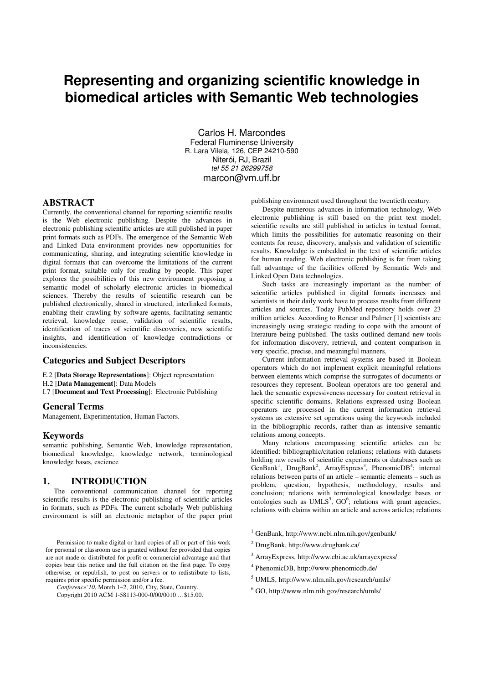# **Representing and organizing scientific knowledge in biomedical articles with Semantic Web technologies**

 Carlos H. Marcondes Federal Fluminense University R. Lara Vilela, 126, CEP 24210-590 Niterói, RJ, Brazil tel 55 21 26299758 marcon@vm.uff.br

#### **ABSTRACT**

Currently, the conventional channel for reporting scientific results is the Web electronic publishing. Despite the advances in electronic publishing scientific articles are still published in paper print formats such as PDFs. The emergence of the Semantic Web and Linked Data environment provides new opportunities for communicating, sharing, and integrating scientific knowledge in digital formats that can overcome the limitations of the current print format, suitable only for reading by people. This paper explores the possibilities of this new environment proposing a semantic model of scholarly electronic articles in biomedical sciences. Thereby the results of scientific research can be published electronically, shared in structured, interlinked formats, enabling their crawling by software agents, facilitating semantic retrieval, knowledge reuse, validation of scientific results, identification of traces of scientific discoveries, new scientific insights, and identification of knowledge contradictions or inconsistencies.

# **Categories and Subject Descriptors**

- E.2 [**Data Storage Representations**]: Object representation
- H.2 [**Data Management**]: Data Models

I.7 [**Document and Text Processing**]: Electronic Publishing

## **General Terms**

Management, Experimentation, Human Factors.

#### **Keywords**

semantic publishing, Semantic Web, knowledge representation, biomedical knowledge, knowledge network, terminological knowledge bases, escience

# **1. INTRODUCTION**

The conventional communication channel for reporting scientific results is the electronic publishing of scientific articles in formats, such as PDFs. The current scholarly Web publishing environment is still an electronic metaphor of the paper print

```
Conference'10, Month 1–2, 2010, City, State, Country.
```
publishing environment used throughout the twentieth century.

Despite numerous advances in information technology, Web electronic publishing is still based on the print text model; scientific results are still published in articles in textual format, which limits the possibilities for automatic reasoning on their contents for reuse, discovery, analysis and validation of scientific results. Knowledge is embedded in the text of scientific articles for human reading. Web electronic publishing is far from taking full advantage of the facilities offered by Semantic Web and Linked Open Data technologies.

Such tasks are increasingly important as the number of scientific articles published in digital formats increases and scientists in their daily work have to process results from different articles and sources. Today PubMed repository holds over 23 million articles. According to Renear and Palmer [1] scientists are increasingly using strategic reading to cope with the amount of literature being published. The tasks outlined demand new tools for information discovery, retrieval, and content comparison in very specific, precise, and meaningful manners.

Current information retrieval systems are based in Boolean operators which do not implement explicit meaningful relations between elements which comprise the surrogates of documents or resources they represent. Boolean operators are too general and lack the semantic expressiveness necessary for content retrieval in specific scientific domains. Relations expressed using Boolean operators are processed in the current information retrieval systems as extensive set operations using the keywords included in the bibliographic records, rather than as intensive semantic relations among concepts.

Many relations encompassing scientific articles can be identified: bibliographic/citation relations; relations with datasets holding raw results of scientific experiments or databases such as GenBank<sup>1</sup>, DrugBank<sup>2</sup>, ArrayExpress<sup>3</sup>, PhenomicDB<sup>4</sup>; internal relations between parts of an article – semantic elements – such as problem, question, hypothesis, methodology, results and conclusion; relations with terminological knowledge bases or ontologies such as UMLS<sup>5</sup>, GO<sup>6</sup>; relations with grant agencies; relations with claims within an article and across articles; relations

- 3 ArrayExpress, http://www.ebi.ac.uk/arrayexpress/
- 4 PhenomicDB, http://www.phenomicdb.de/
- 5 UMLS, http://www.nlm.nih.gov/research/umls/
- 6 GO, http://www.nlm.nih.gov/research/umls/

Permission to make digital or hard copies of all or part of this work for personal or classroom use is granted without fee provided that copies are not made or distributed for profit or commercial advantage and that copies bear this notice and the full citation on the first page. To copy otherwise, or republish, to post on servers or to redistribute to lists, requires prior specific permission and/or a fee.

Copyright 2010 ACM 1-58113-000-0/00/0010 …\$15.00.

 1 GenBank, http://www.ncbi.nlm.nih.gov/genbank/

<sup>2</sup> DrugBank, http://www.drugbank.ca/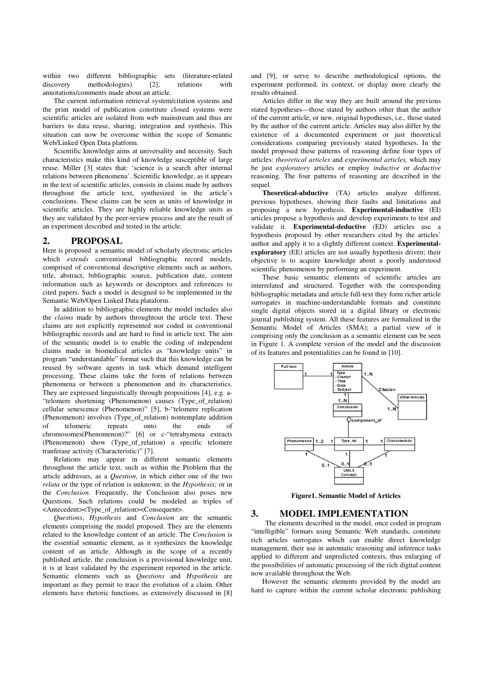within two different bibliographic sets (literature-related discovery methodologies) [2]; relations with annotations/comments made about an article.

The current information retrieval system/citation systems and the print model of publication constitute closed systems were scientific articles are isolated from web mainstream and thus are barriers to data reuse, sharing, integration and synthesis. This situation can now be overcome within the scope of Semantic Web/Linked Open Data platform.

Scientific knowledge aims at universality and necessity. Such characteristics make this kind of knowledge susceptible of large reuse. Miller [3] states that: 'science is a search after internal relations between phenomena'. Scientific knowledge, as it appears in the text of scientific articles, consists in claims made by authors throughout the article text, synthesized in the article's conclusions. These claims can be seen as units of knowledge in scientific articles. They are highly reliable knowledge units as they are validated by the peer-review process and are the result of an experiment described and tested in the article.

### **2. PROPOSAL**

Here is proposed a semantic model of scholarly electronic articles which *extends* conventional bibliographic record models, comprised of conventional descriptive elements such as authors, title, abstract, bibliographic source, publication date, content information such as keywords or descriptors and references to cited papers. Such a model is designed to be implemented in the Semantic Web/Open Linked Data plataform.

In addition to bibliographic elements the model includes also the *claims* made by authors throughtout the article text. These claims are not explicitly represented nor coded in conventional bibliographic records and are hard to find in article text. The aim of the semantic model is to enable the coding of independent claims made in biomedical articles as "knowledge units" in program "understandable" format such that this knowledge can be reused by software agents in task which demand intelligent processing. These claims take the form of relations between phenomena or between a phenomenon and its characteristics. They are expressed linguistically through propositions [4], e.g. a- "telomere shortening (Phenomenon) causes (Type\_of\_relation) cellular senescence (Phenomenon)" [5], b-"telomere replication (Phenomenon) involves (Type\_of\_relation) nontemplate addition<br>of telomeric repeats onto the ends of of telomeric repeats onto the ends of chromosomes(Phenomenon)?" [6] or c-"tetrahymena extracts (Phenomenon) show (Type\_of\_relation) a specific telomere tranferase activity (Characteristic)" [7].

Relations may appear in different semantic elements throughout the article text, such as within the Problem that the article addresses, as a *Question*, in which either one of the two *relata* or the type of relation is unknown; in the *Hypothesis;* or in the *Conclusion*. Frequently, the Conclusion also poses new Questions. Such relations could be modeled as triples of <Antecedent><Type\_of\_relation><Consequent>.

*Questions*, *Hypothesis* and *Conclusion* are the semantic elements comprising the model proposed. They are the elements related to the knowledge content of an article. The *Conclusion* is the essential semantic element, as it synthesizes the knowledge content of an article. Although in the scope of a recently published article, the conclusion is a provisional knowledge unit, it is at least validated by the experiment reported in the article. Semantic elements such as *Questions* and *Hypothesis* are important as they permit to trace the evolution of a claim. Other elements have rhetoric functions, as extensively discussed in [8]

and [9], or serve to describe methodological options, the experiment performed, its context, or display more clearly the results obtained.

Articles differ in the way they are built around the previous stated hypotheses—those stated by authors other than the author of the current article, or new, original hypotheses, i.e., those stated by the author of the current article. Articles may also differ by the existence of a documented experiment or just theoretical considerations comparing previously stated hypotheses. In the model proposed these patterns of reasoning define four types of articles: *theoretical articles* and *experimental articles,* which may be just *exploratory* articles or employ *inductive* or *deductive* reasoning. The four patterns of reasoning are described in the sequel.

**Theoretical-abductive** (TA) articles analyze different, previous hypotheses, showing their faults and limitations and proposing a new hypothesis. **Experimental-inductive** (EI) articles propose a hypothesis and develop experiments to test and validate it. **Experimental-deductive** (ED) articles use a hypothesis proposed by other researchers cited by the articles' author and apply it to a slightly different context. **Experimentalexploratory** (EE) articles are not usually hypothesis driven; their objective is to acquire knowledge about a poorly understood scientific phenomenon by performing an experiment.

These basic semantic elements of scientific articles are interrelated and structured. Together with the corresponding bibliographic metadata and article full-text they form richer article surrogates in machine-understandable formats and constitute single digital objects stored in a digital library or electronic journal publishing system. All these features are formalized in the Semantic Model of Articles (SMA); a partial view of it comprising only the conclusion as a semantic element can be seen in Figure 1. A complete version of the model and the discussion of its features and potentialities can be found in [10].



**Figure1. Semantic Model of Articles** 

#### **3. MODEL IMPLEMENTATION**

The elements described in the model, once coded in program "intelligible" formats using Semantic Web standards, constitute rich articles surrogates which can enable direct knowledge management, their use in automatic reasoning and inference tasks applied to different and unpredicted contexts, thus enlarging of the possibilities of automatic processing of the rich digital content now available throughout the Web.

However the semantic elements provided by the model are hard to capture within the current scholar electronic publishing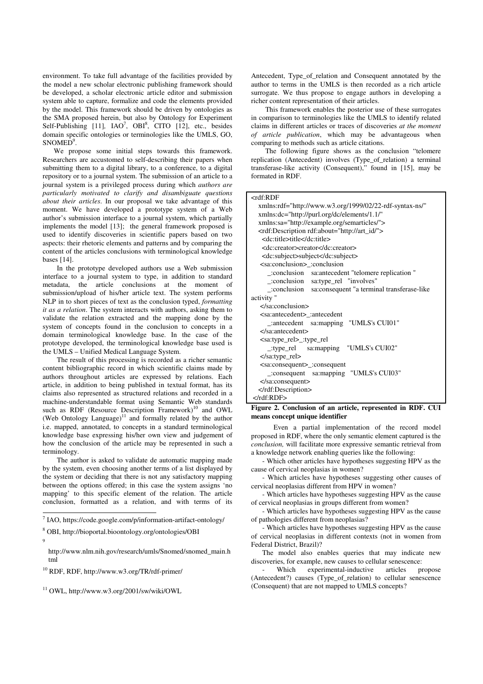environment. To take full advantage of the facilities provided by the model a new scholar electronic publishing framework should be developed, a scholar electronic article editor and submission system able to capture, formalize and code the elements provided by the model. This framework should be driven by ontologies as the SMA proposed herein, but also by Ontology for Experiment Self-Publishing [11], IAO<sup>7</sup>, OBI<sup>8</sup>, CITO [12], etc., besides domain specific ontologies or terminologies like the UMLS, GO, SNOMED<sup>9</sup>.

We propose some initial steps towards this framework. Researchers are accustomed to self-describing their papers when submitting them to a digital library, to a conference, to a digital repository or to a journal system. The submission of an article to a journal system is a privileged process during which *authors are particularly motivated to clarify and disambiguate questions about their articles*. In our proposal we take advantage of this moment. We have developed a prototype system of a Web author's submission interface to a journal system, which partially implements the model [13]; the general framework proposed is used to identify discoveries in scientific papers based on two aspects: their rhetoric elements and patterns and by comparing the content of the articles conclusions with terminological knowledge bases [14].

In the prototype developed authors use a Web submission interface to a journal system to type, in addition to standard metadata, the article conclusions at the moment of submission/upload of his/her article text. The system performs NLP in to short pieces of text as the conclusion typed, *formatting it as a relation*. The system interacts with authors, asking them to validate the relation extracted and the mapping done by the system of concepts found in the conclusion to concepts in a domain terminological knowledge base. In the case of the prototype developed, the terminological knowledge base used is the UMLS – Unified Medical Language System.

The result of this processing is recorded as a richer semantic content bibliographic record in which scientific claims made by authors throughout articles are expressed by relations. Each article, in addition to being published in textual format, has its claims also represented as structured relations and recorded in a machine-understandable format using Semantic Web standards such as RDF (Resource Description Framework)<sup>10</sup> and OWL (Web Ontology Language) $11$  and formally related by the author i.e. mapped, annotated, to concepts in a standard terminological knowledge base expressing his/her own view and judgement of how the conclusion of the article may be represented in such a terminology.

The author is asked to validate de automatic mapping made by the system, even choosing another terms of a list displayed by the system or deciding that there is not any satisfactory mapping between the options offered; in this case the system assigns 'no mapping' to this specific element of the relation. The article conclusion, formatted as a relation, and with terms of its Antecedent, Type\_of\_relation and Consequent annotated by the author to terms in the UMLS is then recorded as a rich article surrogate. We thus propose to engage authors in developing a richer content representation of their articles.

This framework enables the posterior use of these surrogates in comparison to terminologies like the UMLS to identify related claims in different articles or traces of discoveries *at the moment of article publication*, which may be advantageous when comparing to methods such as article citations.

The following figure shows as the conclusion "telomere replication (Antecedent) involves (Type\_of\_relation) a terminal transferase-like activity (Consequent)," found in [15], may be formated in RDF.

#### <rdf:RDF

| xmlns:rdf="http://www.w3.org/1999/02/22-rdf-syntax-ns/"        |
|----------------------------------------------------------------|
| xmlns:dc="http://purl.org/dc/elements/1.1/"                    |
| xmlns:sa="http://example.org/semarticles/">                    |
| <rdf:description rdf:about="http://art_id/"></rdf:description> |
| <dc:title>title</dc:title>                                     |
| <dc:creator>creator</dc:creator>                               |
| <dc:subject>subject</dc:subject>                               |
| <sa:conclusion> :conclusion</sa:conclusion>                    |
| _:conclusion sa:antecedent "telomere replication"              |
| .:conclusion sa:type_rel "involves"                            |
| :conclusion sa:consequent "a terminal transferase-like         |
| activity "                                                     |
| $\le$ /sa:conclusion>                                          |
| <sa:antecedent>_:antecedent</sa:antecedent>                    |
| _:antecedent sa:mapping "UMLS's CUI01"                         |
|                                                                |
| <sa:type_rel>_:type_rel</sa:type_rel>                          |
| $\therefore$ : type_rel sa: mapping "UMLS's CUI02"             |
| $\langle$ sa:type_rel>                                         |
| <sa:consequent>_:consequent</sa:consequent>                    |
| consequent sa:mapping "UMLS's CUI03"                           |
|                                                                |
|                                                                |
| $<$ /rdf:RDF>                                                  |

#### **Figure 2. Conclusion of an article, represented in RDF. CUI means concept unique identifier**

 Even a partial implementation of the record model proposed in RDF, where the only semantic element captured is the *conclusion,* will facilitate more expressive semantic retrieval from a knowledge network enabling queries like the following:

- Which other articles have hypotheses suggesting HPV as the cause of cervical neoplasias in women?

- Which articles have hypotheses suggesting other causes of cervical neoplasias different from HPV in women?

- Which articles have hypotheses suggesting HPV as the cause of cervical neoplasias in groups different from women?

- Which articles have hypotheses suggesting HPV as the cause of pathologies different from neoplasias?

- Which articles have hypotheses suggesting HPV as the cause of cervical neoplasias in different contexts (not in women from Federal District, Brazil)?

The model also enables queries that may indicate new discoveries, for example, new causes to cellular senescence:

Which experimental-inductive articles propose (Antecedent?) causes (Type\_of\_relation) to cellular senescence (Consequent) that are not mapped to UMLS concepts?

 7 IAO, https://code.google.com/p/information-artifact-ontology/

<sup>8</sup> OBI, http://bioportal.bioontology.org/ontologies/OBI

<sup>9</sup>

http://www.nlm.nih.gov/research/umls/Snomed/snomed\_main.h tml

<sup>10</sup> RDF, RDF, http://www.w3.org/TR/rdf-primer/

<sup>11</sup> OWL, http://www.w3.org/2001/sw/wiki/OWL